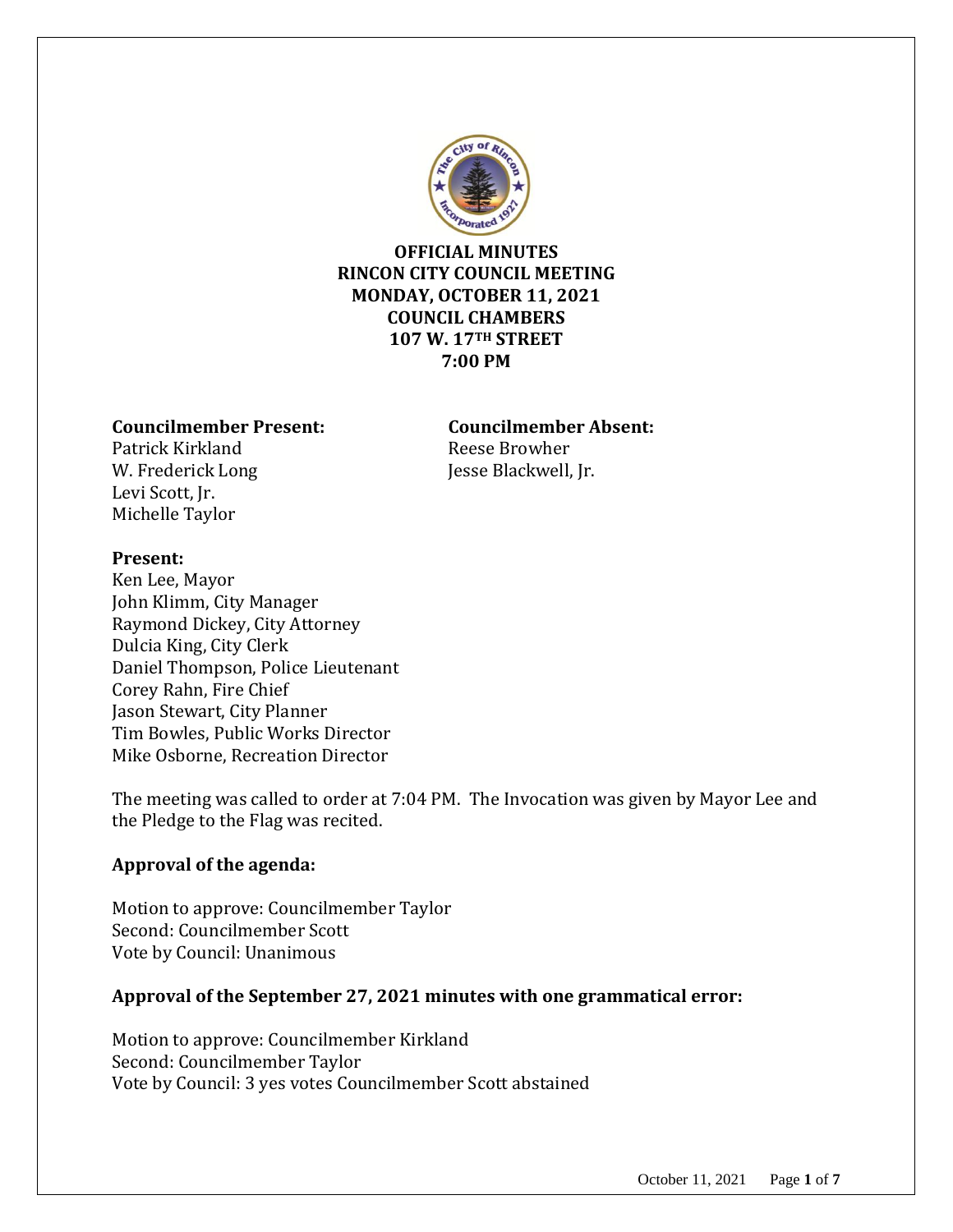

### **OFFICIAL MINUTES RINCON CITY COUNCIL MEETING MONDAY, OCTOBER 11, 2021 COUNCIL CHAMBERS 107 W. 17TH STREET 7:00 PM**

#### **Councilmember Present: Councilmember Absent:**

Patrick Kirkland **Reese Browher** W. Frederick Long Jesse Blackwell, Jr. Levi Scott, Jr. Michelle Taylor

#### **Present:**

Ken Lee, Mayor John Klimm, City Manager Raymond Dickey, City Attorney Dulcia King, City Clerk Daniel Thompson, Police Lieutenant Corey Rahn, Fire Chief Jason Stewart, City Planner Tim Bowles, Public Works Director Mike Osborne, Recreation Director

The meeting was called to order at 7:04 PM. The Invocation was given by Mayor Lee and the Pledge to the Flag was recited.

### **Approval of the agenda:**

Motion to approve: Councilmember Taylor Second: Councilmember Scott Vote by Council: Unanimous

### **Approval of the September 27, 2021 minutes with one grammatical error:**

Motion to approve: Councilmember Kirkland Second: Councilmember Taylor Vote by Council: 3 yes votes Councilmember Scott abstained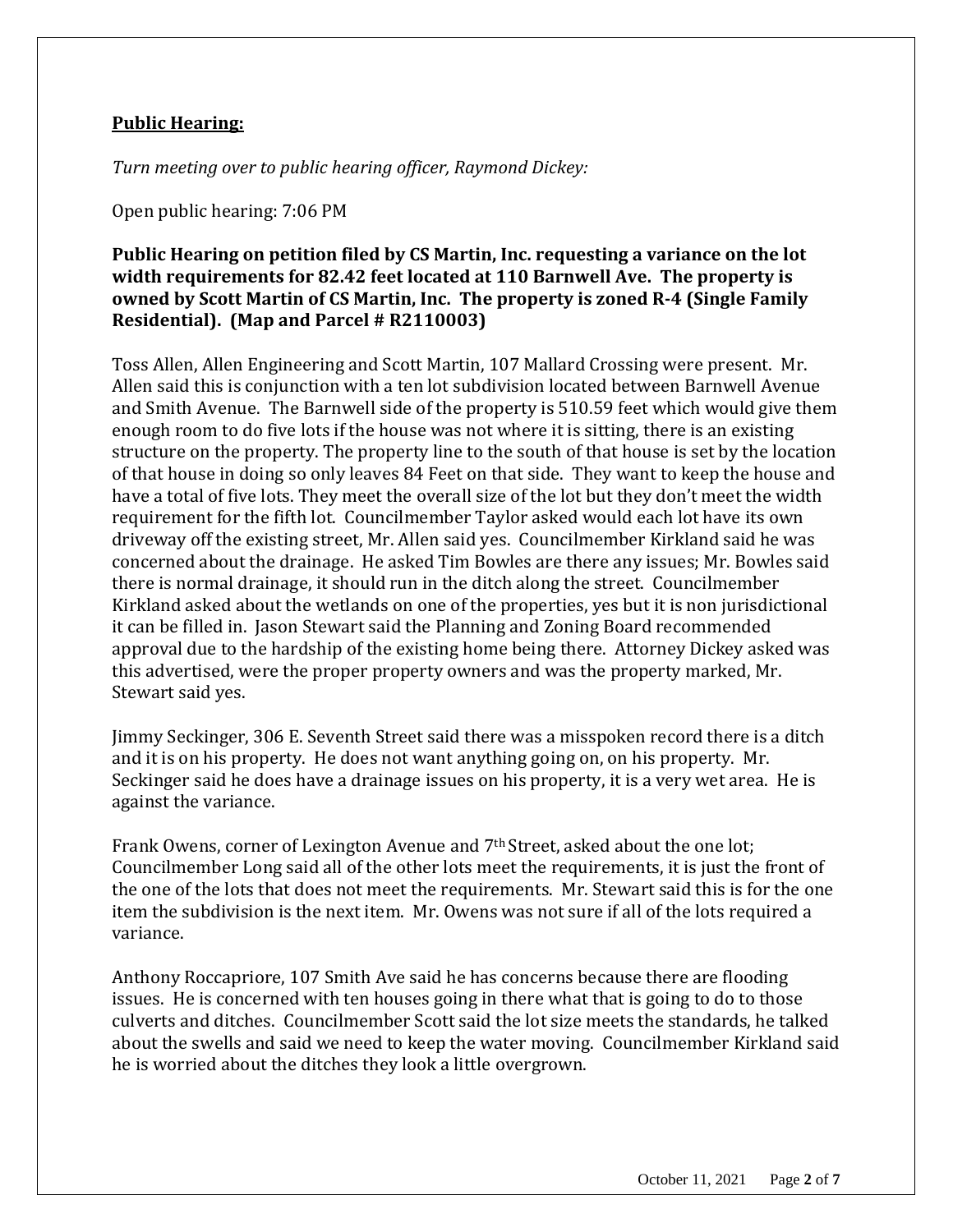#### **Public Hearing:**

*Turn meeting over to public hearing officer, Raymond Dickey:*

Open public hearing: 7:06 PM

### **Public Hearing on petition filed by CS Martin, Inc. requesting a variance on the lot width requirements for 82.42 feet located at 110 Barnwell Ave. The property is owned by Scott Martin of CS Martin, Inc. The property is zoned R-4 (Single Family Residential). (Map and Parcel # R2110003)**

Toss Allen, Allen Engineering and Scott Martin, 107 Mallard Crossing were present. Mr. Allen said this is conjunction with a ten lot subdivision located between Barnwell Avenue and Smith Avenue. The Barnwell side of the property is 510.59 feet which would give them enough room to do five lots if the house was not where it is sitting, there is an existing structure on the property. The property line to the south of that house is set by the location of that house in doing so only leaves 84 Feet on that side. They want to keep the house and have a total of five lots. They meet the overall size of the lot but they don't meet the width requirement for the fifth lot. Councilmember Taylor asked would each lot have its own driveway off the existing street, Mr. Allen said yes. Councilmember Kirkland said he was concerned about the drainage. He asked Tim Bowles are there any issues; Mr. Bowles said there is normal drainage, it should run in the ditch along the street. Councilmember Kirkland asked about the wetlands on one of the properties, yes but it is non jurisdictional it can be filled in. Jason Stewart said the Planning and Zoning Board recommended approval due to the hardship of the existing home being there. Attorney Dickey asked was this advertised, were the proper property owners and was the property marked, Mr. Stewart said yes.

Jimmy Seckinger, 306 E. Seventh Street said there was a misspoken record there is a ditch and it is on his property. He does not want anything going on, on his property. Mr. Seckinger said he does have a drainage issues on his property, it is a very wet area. He is against the variance.

Frank Owens, corner of Lexington Avenue and 7th Street, asked about the one lot; Councilmember Long said all of the other lots meet the requirements, it is just the front of the one of the lots that does not meet the requirements. Mr. Stewart said this is for the one item the subdivision is the next item. Mr. Owens was not sure if all of the lots required a variance.

Anthony Roccapriore, 107 Smith Ave said he has concerns because there are flooding issues. He is concerned with ten houses going in there what that is going to do to those culverts and ditches. Councilmember Scott said the lot size meets the standards, he talked about the swells and said we need to keep the water moving. Councilmember Kirkland said he is worried about the ditches they look a little overgrown.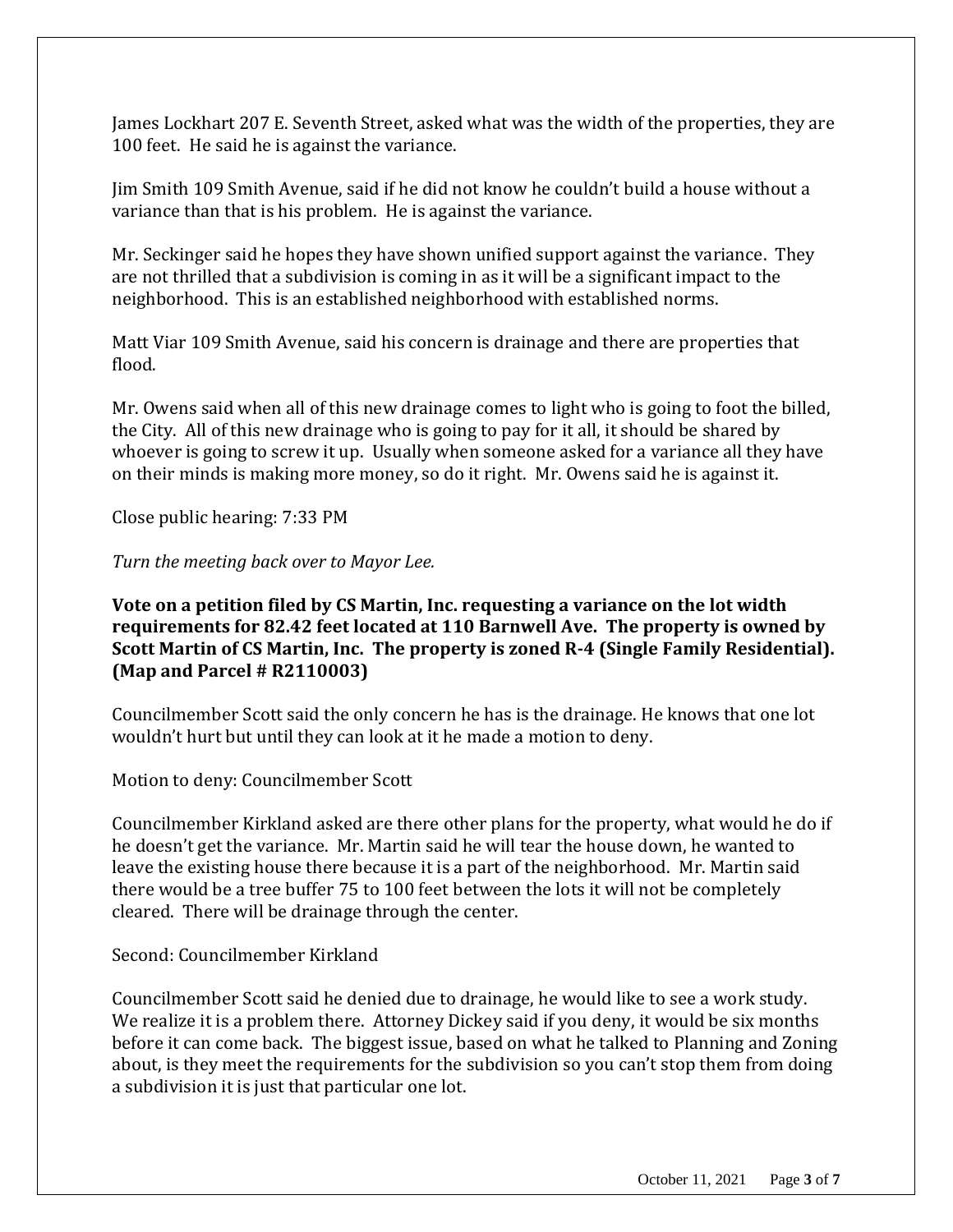James Lockhart 207 E. Seventh Street, asked what was the width of the properties, they are 100 feet. He said he is against the variance.

Jim Smith 109 Smith Avenue, said if he did not know he couldn't build a house without a variance than that is his problem. He is against the variance.

Mr. Seckinger said he hopes they have shown unified support against the variance. They are not thrilled that a subdivision is coming in as it will be a significant impact to the neighborhood. This is an established neighborhood with established norms.

Matt Viar 109 Smith Avenue, said his concern is drainage and there are properties that flood.

Mr. Owens said when all of this new drainage comes to light who is going to foot the billed, the City. All of this new drainage who is going to pay for it all, it should be shared by whoever is going to screw it up. Usually when someone asked for a variance all they have on their minds is making more money, so do it right. Mr. Owens said he is against it.

Close public hearing: 7:33 PM

*Turn the meeting back over to Mayor Lee.*

**Vote on a petition filed by CS Martin, Inc. requesting a variance on the lot width requirements for 82.42 feet located at 110 Barnwell Ave. The property is owned by Scott Martin of CS Martin, Inc. The property is zoned R-4 (Single Family Residential). (Map and Parcel # R2110003)**

Councilmember Scott said the only concern he has is the drainage. He knows that one lot wouldn't hurt but until they can look at it he made a motion to deny.

Motion to deny: Councilmember Scott

Councilmember Kirkland asked are there other plans for the property, what would he do if he doesn't get the variance. Mr. Martin said he will tear the house down, he wanted to leave the existing house there because it is a part of the neighborhood. Mr. Martin said there would be a tree buffer 75 to 100 feet between the lots it will not be completely cleared. There will be drainage through the center.

Second: Councilmember Kirkland

Councilmember Scott said he denied due to drainage, he would like to see a work study. We realize it is a problem there. Attorney Dickey said if you deny, it would be six months before it can come back. The biggest issue, based on what he talked to Planning and Zoning about, is they meet the requirements for the subdivision so you can't stop them from doing a subdivision it is just that particular one lot.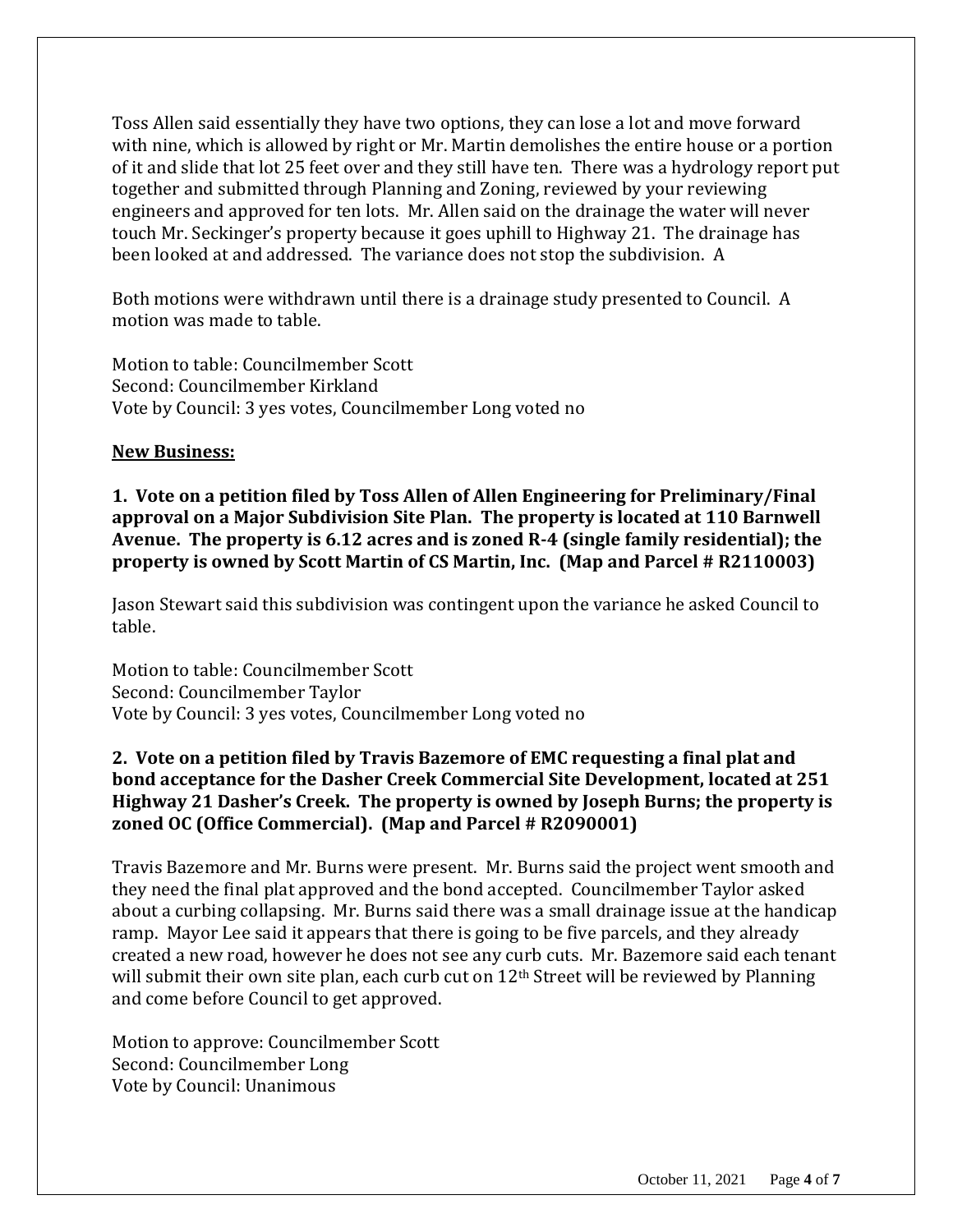Toss Allen said essentially they have two options, they can lose a lot and move forward with nine, which is allowed by right or Mr. Martin demolishes the entire house or a portion of it and slide that lot 25 feet over and they still have ten. There was a hydrology report put together and submitted through Planning and Zoning, reviewed by your reviewing engineers and approved for ten lots. Mr. Allen said on the drainage the water will never touch Mr. Seckinger's property because it goes uphill to Highway 21. The drainage has been looked at and addressed. The variance does not stop the subdivision. A

Both motions were withdrawn until there is a drainage study presented to Council. A motion was made to table.

Motion to table: Councilmember Scott Second: Councilmember Kirkland Vote by Council: 3 yes votes, Councilmember Long voted no

#### **New Business:**

**1. Vote on a petition filed by Toss Allen of Allen Engineering for Preliminary/Final approval on a Major Subdivision Site Plan. The property is located at 110 Barnwell Avenue. The property is 6.12 acres and is zoned R-4 (single family residential); the property is owned by Scott Martin of CS Martin, Inc. (Map and Parcel # R2110003)**

Jason Stewart said this subdivision was contingent upon the variance he asked Council to table.

Motion to table: Councilmember Scott Second: Councilmember Taylor Vote by Council: 3 yes votes, Councilmember Long voted no

### **2. Vote on a petition filed by Travis Bazemore of EMC requesting a final plat and bond acceptance for the Dasher Creek Commercial Site Development, located at 251 Highway 21 Dasher's Creek. The property is owned by Joseph Burns; the property is zoned OC (Office Commercial). (Map and Parcel # R2090001)**

Travis Bazemore and Mr. Burns were present. Mr. Burns said the project went smooth and they need the final plat approved and the bond accepted. Councilmember Taylor asked about a curbing collapsing. Mr. Burns said there was a small drainage issue at the handicap ramp. Mayor Lee said it appears that there is going to be five parcels, and they already created a new road, however he does not see any curb cuts. Mr. Bazemore said each tenant will submit their own site plan, each curb cut on  $12<sup>th</sup>$  Street will be reviewed by Planning and come before Council to get approved.

Motion to approve: Councilmember Scott Second: Councilmember Long Vote by Council: Unanimous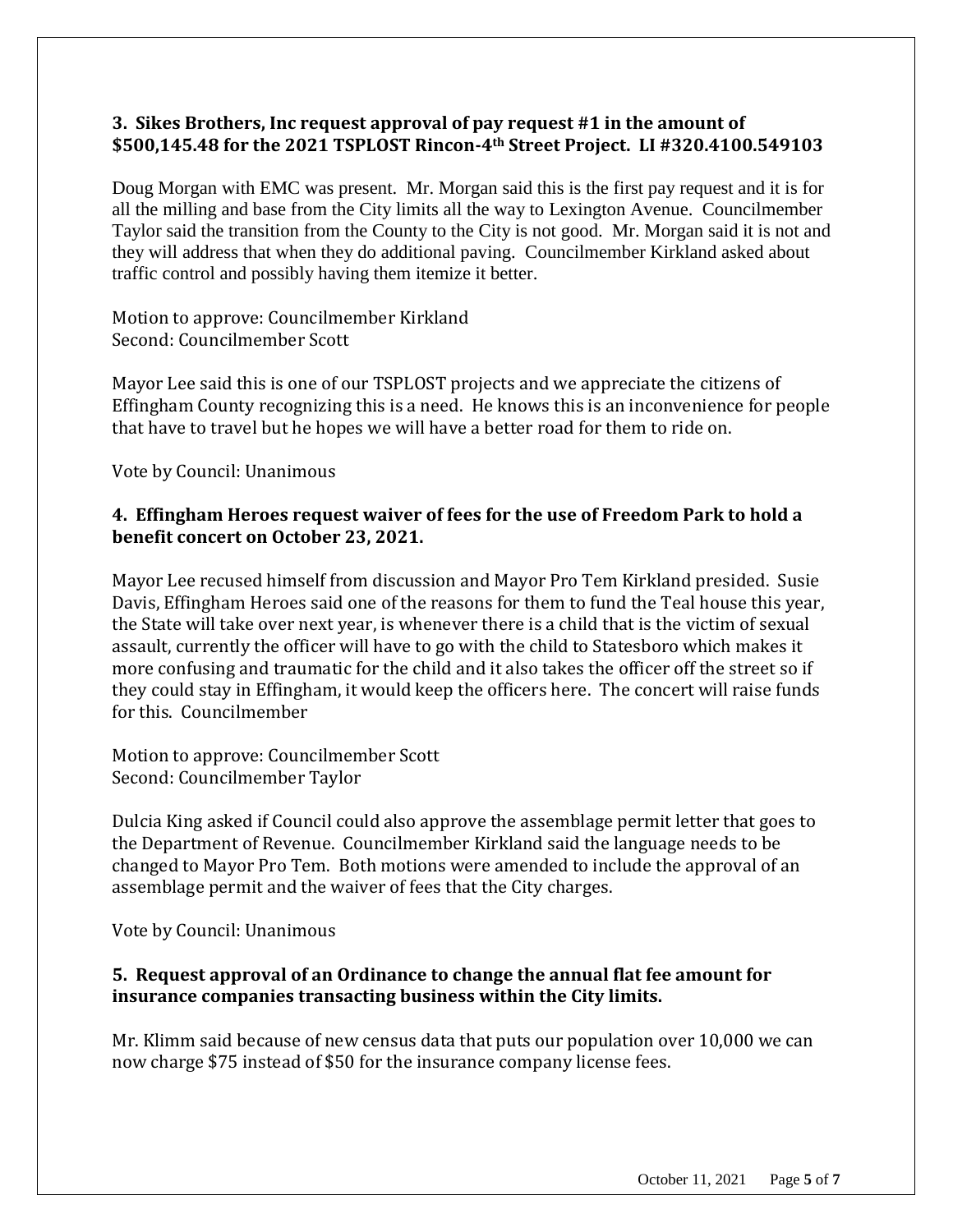### **3. Sikes Brothers, Inc request approval of pay request #1 in the amount of \$500,145.48 for the 2021 TSPLOST Rincon-4th Street Project. LI #320.4100.549103**

Doug Morgan with EMC was present. Mr. Morgan said this is the first pay request and it is for all the milling and base from the City limits all the way to Lexington Avenue. Councilmember Taylor said the transition from the County to the City is not good. Mr. Morgan said it is not and they will address that when they do additional paving. Councilmember Kirkland asked about traffic control and possibly having them itemize it better.

Motion to approve: Councilmember Kirkland Second: Councilmember Scott

Mayor Lee said this is one of our TSPLOST projects and we appreciate the citizens of Effingham County recognizing this is a need. He knows this is an inconvenience for people that have to travel but he hopes we will have a better road for them to ride on.

Vote by Council: Unanimous

### **4. Effingham Heroes request waiver of fees for the use of Freedom Park to hold a benefit concert on October 23, 2021.**

Mayor Lee recused himself from discussion and Mayor Pro Tem Kirkland presided. Susie Davis, Effingham Heroes said one of the reasons for them to fund the Teal house this year, the State will take over next year, is whenever there is a child that is the victim of sexual assault, currently the officer will have to go with the child to Statesboro which makes it more confusing and traumatic for the child and it also takes the officer off the street so if they could stay in Effingham, it would keep the officers here. The concert will raise funds for this. Councilmember

Motion to approve: Councilmember Scott Second: Councilmember Taylor

Dulcia King asked if Council could also approve the assemblage permit letter that goes to the Department of Revenue. Councilmember Kirkland said the language needs to be changed to Mayor Pro Tem. Both motions were amended to include the approval of an assemblage permit and the waiver of fees that the City charges.

Vote by Council: Unanimous

# **5. Request approval of an Ordinance to change the annual flat fee amount for insurance companies transacting business within the City limits.**

Mr. Klimm said because of new census data that puts our population over 10,000 we can now charge \$75 instead of \$50 for the insurance company license fees.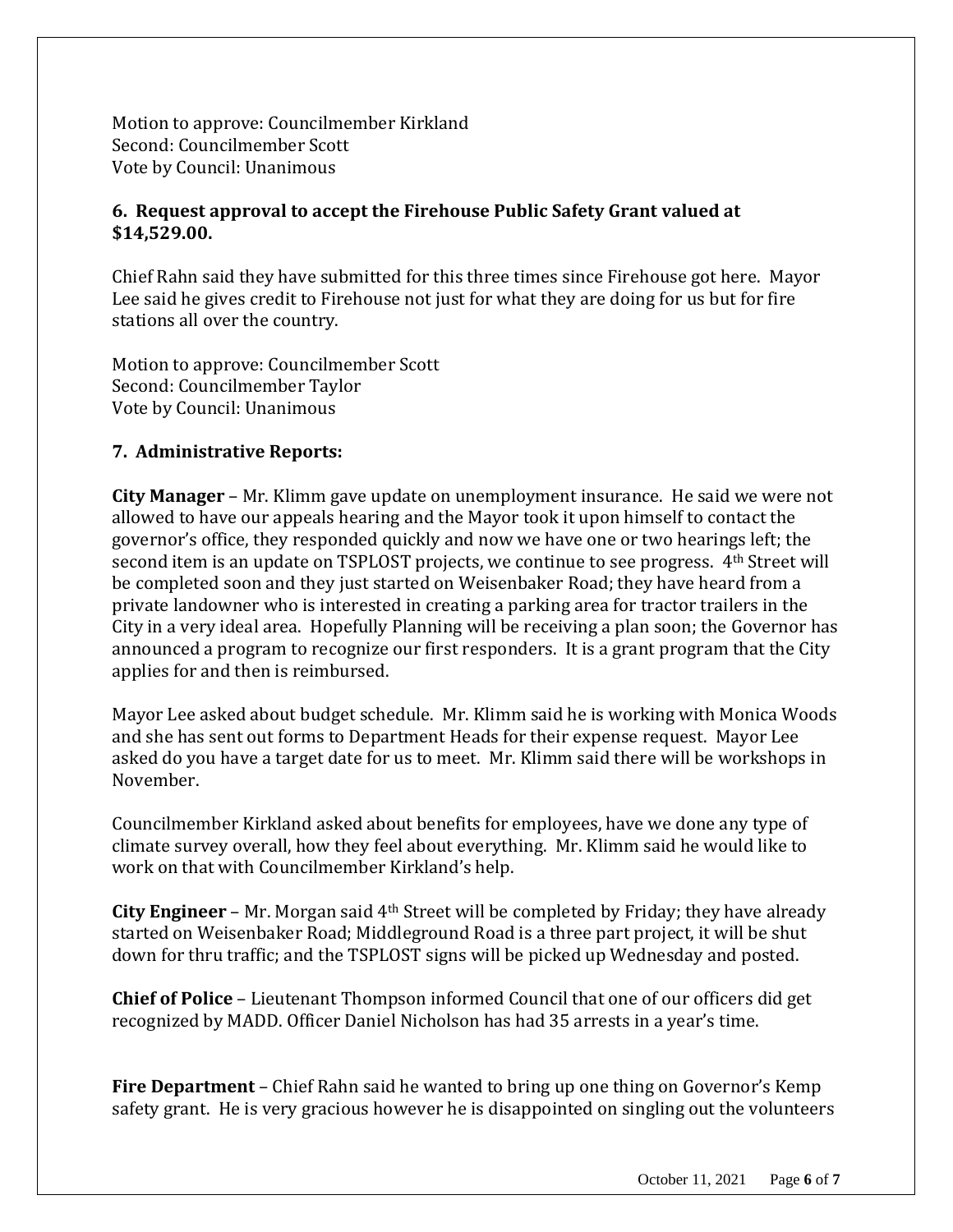Motion to approve: Councilmember Kirkland Second: Councilmember Scott Vote by Council: Unanimous

# **6. Request approval to accept the Firehouse Public Safety Grant valued at \$14,529.00.**

Chief Rahn said they have submitted for this three times since Firehouse got here. Mayor Lee said he gives credit to Firehouse not just for what they are doing for us but for fire stations all over the country.

Motion to approve: Councilmember Scott Second: Councilmember Taylor Vote by Council: Unanimous

# **7. Administrative Reports:**

**City Manager** – Mr. Klimm gave update on unemployment insurance. He said we were not allowed to have our appeals hearing and the Mayor took it upon himself to contact the governor's office, they responded quickly and now we have one or two hearings left; the second item is an update on TSPLOST projects, we continue to see progress. 4th Street will be completed soon and they just started on Weisenbaker Road; they have heard from a private landowner who is interested in creating a parking area for tractor trailers in the City in a very ideal area. Hopefully Planning will be receiving a plan soon; the Governor has announced a program to recognize our first responders. It is a grant program that the City applies for and then is reimbursed.

Mayor Lee asked about budget schedule. Mr. Klimm said he is working with Monica Woods and she has sent out forms to Department Heads for their expense request. Mayor Lee asked do you have a target date for us to meet. Mr. Klimm said there will be workshops in November.

Councilmember Kirkland asked about benefits for employees, have we done any type of climate survey overall, how they feel about everything. Mr. Klimm said he would like to work on that with Councilmember Kirkland's help.

**City Engineer** – Mr. Morgan said 4<sup>th</sup> Street will be completed by Friday; they have already started on Weisenbaker Road; Middleground Road is a three part project, it will be shut down for thru traffic; and the TSPLOST signs will be picked up Wednesday and posted.

**Chief of Police** – Lieutenant Thompson informed Council that one of our officers did get recognized by MADD. Officer Daniel Nicholson has had 35 arrests in a year's time.

**Fire Department** – Chief Rahn said he wanted to bring up one thing on Governor's Kemp safety grant. He is very gracious however he is disappointed on singling out the volunteers